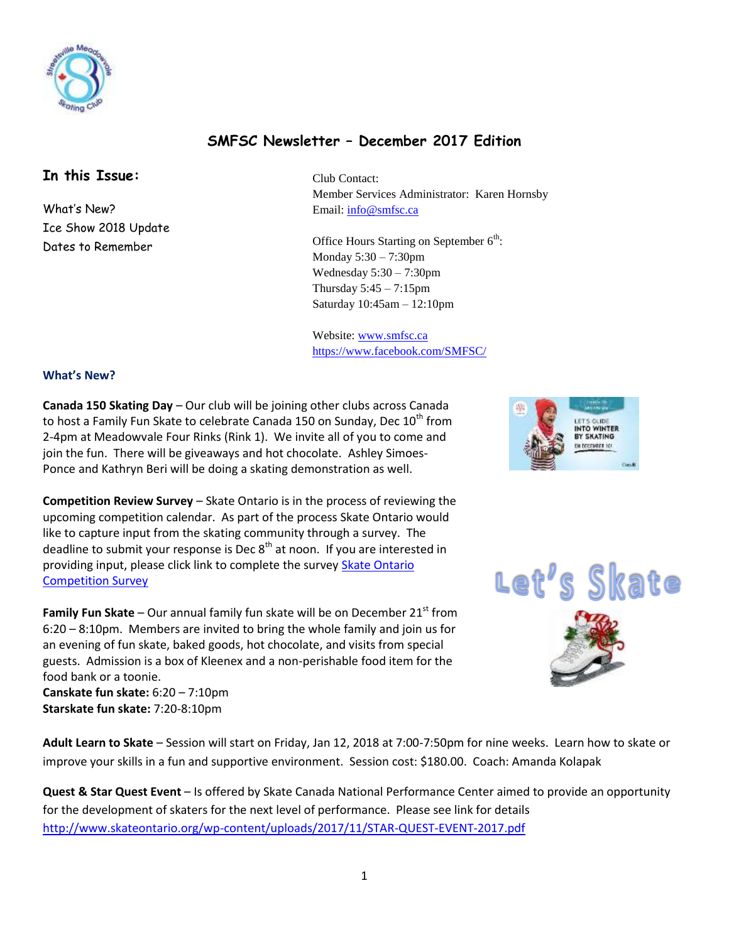

# **SMFSC Newsletter – December 2017 Edition**

# **In this Issue:**

What's New? Ice Show 2018 Update Dates to Remember

Club Contact: Member Services Administrator: Karen Hornsby Email: [info@smfsc.ca](mailto:info@smfsc.ca)

Office Hours Starting on September  $6<sup>th</sup>$ : Monday 5:30 – 7:30pm Wednesday  $5:30 - 7:30$ pm Thursday 5:45 – 7:15pm Saturday 10:45am – 12:10pm

Website[: www.smfsc.ca](http://www.smfsc.ca/) <https://www.facebook.com/SMFSC/>

### **What's New?**

**Canada 150 Skating Day** – Our club will be joining other clubs across Canada to host a Family Fun Skate to celebrate Canada 150 on Sunday, Dec  $10^{th}$  from 2-4pm at Meadowvale Four Rinks (Rink 1). We invite all of you to come and join the fun. There will be giveaways and hot chocolate. Ashley Simoes-Ponce and Kathryn Beri will be doing a skating demonstration as well.

**Competition Review Survey** – Skate Ontario is in the process of reviewing the upcoming competition calendar. As part of the process Skate Ontario would like to capture input from the skating community through a survey. The deadline to submit your response is Dec  $8<sup>th</sup>$  at noon. If you are interested in providing input, please click link to complete the survey [Skate Ontario](http://r20.rs6.net/tn.jsp?f=001-3BmBhZa536I8Q8idQA80wpXoHcFBLm_cMSJoUoEPcrAzhSK39pF3UStKeEDj87qDe-MG6D7Kbt78z5JRbhyhCkhKZJ76vWj-E-eRMJXMiJ8p0xs8nJDisSNChBwHzXtdO5GX4HeUM3bhAh2277UP0ws6AomqZYpfnqNTPT7NLM=&c=IL4mRgkcnyCiHzeJeg7jWiImsieH6Pk0y4HmKAfcmeolKJQv3bpd2w==&ch=WIA3KidGiYkJS7JYVGkbml8umxPDdmCWqqfR2qG0OpMIkscSHnh7LQ==)  [Competition Survey](http://r20.rs6.net/tn.jsp?f=001-3BmBhZa536I8Q8idQA80wpXoHcFBLm_cMSJoUoEPcrAzhSK39pF3UStKeEDj87qDe-MG6D7Kbt78z5JRbhyhCkhKZJ76vWj-E-eRMJXMiJ8p0xs8nJDisSNChBwHzXtdO5GX4HeUM3bhAh2277UP0ws6AomqZYpfnqNTPT7NLM=&c=IL4mRgkcnyCiHzeJeg7jWiImsieH6Pk0y4HmKAfcmeolKJQv3bpd2w==&ch=WIA3KidGiYkJS7JYVGkbml8umxPDdmCWqqfR2qG0OpMIkscSHnh7LQ==)

**Family Fun Skate** – Our annual family fun skate will be on December 21<sup>st</sup> from 6:20 – 8:10pm. Members are invited to bring the whole family and join us for an evening of fun skate, baked goods, hot chocolate, and visits from special guests. Admission is a box of Kleenex and a non-perishable food item for the food bank or a toonie.

**Canskate fun skate:** 6:20 – 7:10pm **Starskate fun skate:** 7:20-8:10pm

**Adult Learn to Skate** – Session will start on Friday, Jan 12, 2018 at 7:00-7:50pm for nine weeks. Learn how to skate or improve your skills in a fun and supportive environment. Session cost: \$180.00. Coach: Amanda Kolapak

**Quest & Star Quest Event** – Is offered by Skate Canada National Performance Center aimed to provide an opportunity for the development of skaters for the next level of performance. Please see link for details <http://www.skateontario.org/wp-content/uploads/2017/11/STAR-QUEST-EVENT-2017.pdf>





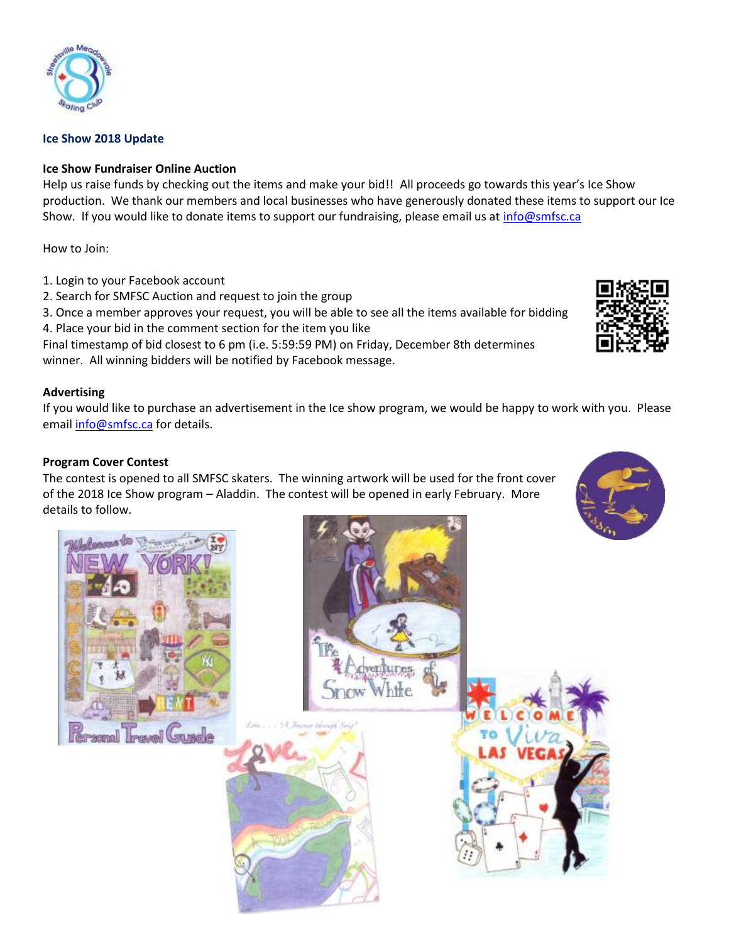

### **Ice Show 2018 Update**

### **Ice Show Fundraiser Online Auction**

Help us raise funds by checking out the items and make your bid!! All proceeds go towards this year's Ice Show production. We thank our members and local businesses who have generously donated these items to support our Ice Show. If you would like to donate items to support our fundraising, please email us at *info@smfsc.ca* 

How to Join:

- 1. Login to your Facebook account
- 2. Search for SMFSC Auction and request to join the group
- 3. Once a member approves your request, you will be able to see all the items available for bidding 4. Place your bid in the comment section for the item you like

Final timestamp of bid closest to 6 pm (i.e. 5:59:59 PM) on Friday, December 8th determines winner. All winning bidders will be notified by Facebook message.

## **Advertising**

If you would like to purchase an advertisement in the Ice show program, we would be happy to work with you. Please email [info@smfsc.ca](mailto:info@smfsc.ca) for details.

### **Program Cover Contest**

The contest is opened to all SMFSC skaters. The winning artwork will be used for the front cover of the 2018 Ice Show program – Aladdin. The contest will be opened in early February. More details to follow.